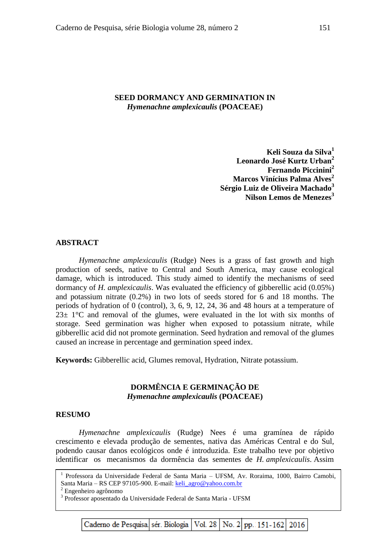## **SEED DORMANCY AND GERMINATION IN**  *Hymenachne amplexicaulis* **(POACEAE)**

**Keli Souza da Silva<sup>1</sup> Leonardo José Kurtz Urban<sup>2</sup> Fernando Piccinini<sup>2</sup> Marcos Vinícius Palma Alves<sup>2</sup> Sérgio Luiz de Oliveira Machado<sup>3</sup> Nilson Lemos de Menezes<sup>3</sup>**

#### **ABSTRACT**

*Hymenachne amplexicaulis* (Rudge) Nees is a grass of fast growth and high production of seeds, native to Central and South America, may cause ecological damage, which is introduced. This study aimed to identify the mechanisms of seed dormancy of *H. amplexicaulis*. Was evaluated the efficiency of gibberellic acid (0.05%) and potassium nitrate (0.2%) in two lots of seeds stored for 6 and 18 months. The periods of hydration of 0 (control), 3, 6, 9, 12, 24, 36 and 48 hours at a temperature of  $23\pm 1\degree$ C and removal of the glumes, were evaluated in the lot with six months of storage. Seed germination was higher when exposed to potassium nitrate, while gibberellic acid did not promote germination. Seed hydration and removal of the glumes caused an increase in percentage and germination speed index.

**Keywords:** Gibberellic acid, Glumes removal, Hydration, Nitrate potassium.

# **DORMÊNCIA E GERMINAÇÃO DE**  *Hymenachne amplexicaulis* **(POACEAE)**

#### **RESUMO**

*Hymenachne amplexicaulis* (Rudge) Nees é uma gramínea de rápido crescimento e elevada produção de sementes, nativa das Américas Central e do Sul, podendo causar danos ecológicos onde é introduzida. Este trabalho teve por objetivo identificar os mecanismos da dormência das sementes de *H. amplexicaulis*. Assim

<sup>1</sup> Professora da Universidade Federal de Santa Maria - UFSM, Av. Roraima, 1000, Bairro Camobi, Santa Maria – RS CEP 97105-900. E-mail: [keli\\_agro@yahoo.com.br](mailto:keli_agro@yahoo.com.br)

3 Professor aposentado da Universidade Federal de Santa Maria - UFSM

Caderno de Pesquisa sér. Biologia Vol. 28 No. 2 pp. 151-162 2016

<sup>2</sup> Engenheiro agrônomo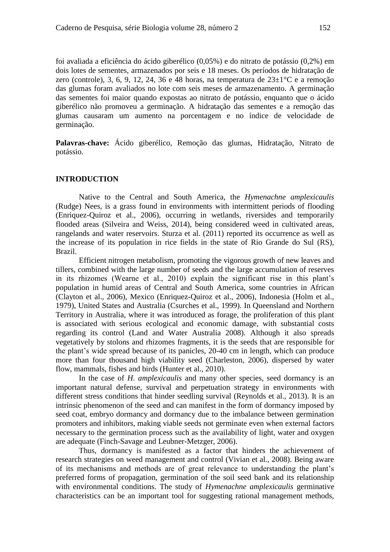foi avaliada a eficiência do ácido giberélico (0,05%) e do nitrato de potássio (0,2%) em dois lotes de sementes, armazenados por seis e 18 meses. Os períodos de hidratação de zero (controle), 3, 6, 9, 12, 24, 36 e 48 horas, na temperatura de  $23\pm1^{\circ}$ C e a remoção das glumas foram avaliados no lote com seis meses de armazenamento. A germinação das sementes foi maior quando expostas ao nitrato de potássio, enquanto que o ácido giberélico não promoveu a germinação. A hidratação das sementes e a remoção das glumas causaram um aumento na porcentagem e no índice de velocidade de germinação.

**Palavras-chave:** Ácido giberélico, Remoção das glumas, Hidratação, Nitrato de potássio.

#### **INTRODUCTION**

Native to the Central and South America, the *Hymenachne amplexicaulis* (Rudge) Nees, is a grass found in environments with intermittent periods of flooding (Enriquez-Quiroz et al., 2006), occurring in wetlands, riversides and temporarily flooded areas (Silveira and Weiss, 2014), being considered weed in cultivated areas, rangelands and water reservoirs. Sturza et al. (2011) reported its occurrence as well as the increase of its population in rice fields in the state of Rio Grande do Sul (RS), Brazil.

Efficient nitrogen metabolism, promoting the vigorous growth of new leaves and tillers, combined with the large number of seeds and the large accumulation of reserves in its rhizomes (Wearne et al., 2010) explain the significant rise in this plant's population in humid areas of Central and South America, some countries in African (Clayton et al., 2006), Mexico (Enriquez-Quiroz et al., 2006), Indonesia (Holm et al., 1979), United States and Australia (Csurches et al., 1999). In Queensland and Northern Territory in Australia, where it was introduced as forage, the proliferation of this plant is associated with serious ecological and economic damage, with substantial costs regarding its control (Land and Water Australia 2008). Although it also spreads vegetatively by stolons and rhizomes fragments, it is the seeds that are responsible for the plant's wide spread because of its panicles, 20-40 cm in length, which can produce more than four thousand high viability seed (Charleston, 2006), dispersed by water flow, mammals, fishes and birds (Hunter et al., 2010).

In the case of *H. amplexicaulis* and many other species, seed dormancy is an important natural defense, survival and perpetuation strategy in environments with different stress conditions that hinder seedling survival (Reynolds et al., 2013). It is an intrinsic phenomenon of the seed and can manifest in the form of dormancy imposed by seed coat, embryo dormancy and dormancy due to the imbalance between germination promoters and inhibitors, making viable seeds not germinate even when external factors necessary to the germination process such as the availability of light, water and oxygen are adequate (Finch-Savage and Leubner-Metzger, 2006).

Thus, dormancy is manifested as a factor that hinders the achievement of research strategies on weed management and control (Vivian et al., 2008). Being aware of its mechanisms and methods are of great relevance to understanding the plant's preferred forms of propagation, germination of the soil seed bank and its relationship with environmental conditions. The study of *Hymenachne amplexicaulis* germinative characteristics can be an important tool for suggesting rational management methods,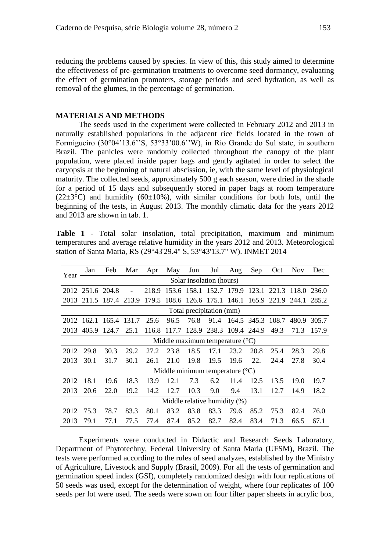reducing the problems caused by species. In view of this, this study aimed to determine the effectiveness of pre-germination treatments to overcome seed dormancy, evaluating the effect of germination promoters, storage periods and seed hydration, as well as removal of the glumes, in the percentage of germination.

#### **MATERIALS AND METHODS**

The seeds used in the experiment were collected in February 2012 and 2013 in naturally established populations in the adjacent rice fields located in the town of Formigueiro (30°04'13.6''S, 53°33'00.6''W), in Rio Grande do Sul state, in southern Brazil. The panicles were randomly collected throughout the canopy of the plant population, were placed inside paper bags and gently agitated in order to select the caryopsis at the beginning of natural abscission, ie, with the same level of physiological maturity. The collected seeds, approximately 500 g each season, were dried in the shade for a period of 15 days and subsequently stored in paper bags at room temperature  $(22\pm3\degree C)$  and humidity  $(60\pm10\%)$ , with similar conditions for both lots, until the beginning of the tests, in August 2013. The monthly climatic data for the years 2012 and 2013 are shown in tab. 1.

**Table 1 -** Total solar insolation, total precipitation, maximum and minimum temperatures and average relative humidity in the years 2012 and 2013. Meteorological station of Santa Maria, RS (29°43'29.4" S, 53°43'13.7" W). INMET 2014

| Year                                       | Jan                                        | Feb   | Mar                      | Apr   | May                     | Jun                     | Jul   | Aug         | Sep         | Oct         | <b>Nov</b>        | Dec   |
|--------------------------------------------|--------------------------------------------|-------|--------------------------|-------|-------------------------|-------------------------|-------|-------------|-------------|-------------|-------------------|-------|
|                                            | Solar insolation (hours)                   |       |                          |       |                         |                         |       |             |             |             |                   |       |
|                                            | 2012 251.6 204.8                           |       | $\overline{\phantom{a}}$ | 218.9 |                         | 153.6 158.1 152.7 179.9 |       |             |             | 123.1 221.3 | 118.0             | 236.0 |
|                                            | 2013 211.5 187.4                           |       | 213.9                    | 179.5 | 108.6 126.6 175.1 146.1 |                         |       |             |             |             | 165.9 221.9 244.1 | 285.2 |
|                                            | Total precipitation (mm)                   |       |                          |       |                         |                         |       |             |             |             |                   |       |
| 2012                                       | 162.1                                      |       | 165.4 131.7              | 25.6  | 96.5                    | 76.8                    | 91.4  |             | 164.5 345.3 | 108.7       | 480.9             | 305.7 |
| 2013                                       | 405.9                                      | 124.7 | 25.1                     | 116.8 | 117.7                   | 128.9                   | 238.3 | 109.4 244.9 |             | 49.3        | 71.3              | 157.9 |
| Middle maximum temperature $({}^{\circ}C)$ |                                            |       |                          |       |                         |                         |       |             |             |             |                   |       |
| 2012                                       | 29.8                                       | 30.3  | 29.2                     | 27.2  | 23.8                    | 18.5                    | 17.1  | 23.2        | 20.8        | 25.4        | 28.3              | 29.8  |
| 2013                                       | 30.1                                       | 31.7  | 30.1                     | 26.1  | 21.0                    | 19.8                    | 19.5  | 19.6        | 22.         | 24.4        | 27.8              | 30.4  |
|                                            | Middle minimum temperature $({}^{\circ}C)$ |       |                          |       |                         |                         |       |             |             |             |                   |       |
| 2012                                       | 18.1                                       | 19.6  | 18.3                     | 13.9  | 12.1                    | 7.3                     | 6.2   | 11.4        | 12.5        | 13.5        | 19.0              | 19.7  |
| 2013                                       | 20.6                                       | 22.0  | 19.2                     | 14.2  | 12.7                    | 10.3                    | 9.0   | 9.4         | 13.1        | 12.7        | 14.9              | 18.2  |
|                                            | Middle relative humidity (%)               |       |                          |       |                         |                         |       |             |             |             |                   |       |
| 2012                                       | 75.3                                       | 78.7  | 83.3                     | 80.1  | 83.2                    | 83.8                    | 83.3  | 79.6        | 85.2        | 75.3        | 82.4              | 76.0  |
| 2013                                       | 79.1                                       | 77.1  | 77.5                     | 77.4  | 87.4                    | 85.2                    | 82.7  | 82.4        | 83.4        | 71.3        | 66.5              | 67.1  |

Experiments were conducted in Didactic and Research Seeds Laboratory, Department of Phytotechny, Federal University of Santa Maria (UFSM), Brazil. The tests were performed according to the rules of seed analyzes, established by the Ministry of Agriculture, Livestock and Supply (Brasil, 2009). For all the tests of germination and germination speed index (GSI), completely randomized design with four replications of 50 seeds was used, except for the determination of weight, where four replicates of 100 seeds per lot were used. The seeds were sown on four filter paper sheets in acrylic box,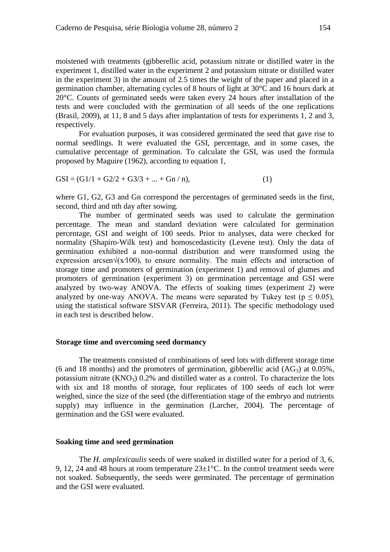moistened with treatments (gibberellic acid, potassium nitrate or distilled water in the experiment 1, distilled water in the experiment 2 and potassium nitrate or distilled water in the experiment 3) in the amount of 2.5 times the weight of the paper and placed in a germination chamber, alternating cycles of 8 hours of light at 30°C and 16 hours dark at 20°C. Counts of germinated seeds were taken every 24 hours after installation of the tests and were concluded with the germination of all seeds of the one replications (Brasil, 2009), at 11, 8 and 5 days after implantation of tests for experiments 1, 2 and 3, respectively.

For evaluation purposes, it was considered germinated the seed that gave rise to normal seedlings. It were evaluated the GSI, percentage, and in some cases, the cumulative percentage of germination. To calculate the GSI, was used the formula proposed by Maguire (1962), according to equation 1,

$$
GSI = (G1/1 + G2/2 + G3/3 + ... + Gn / n),
$$
\n(1)

where G1, G2, G3 and Gn correspond the percentages of germinated seeds in the first, second, third and nth day after sowing.

The number of germinated seeds was used to calculate the germination percentage. The mean and standard deviation were calculated for germination percentage, GSI and weight of 100 seeds. Prior to analyses, data were checked for normality (Shapiro-Wilk test) and homoscedasticity (Levene test). Only the data of germination exhibited a non-normal distribution and were transformed using the expression arcsen $\sqrt{(x/100)}$ , to ensure normality. The main effects and interaction of storage time and promoters of germination (experiment 1) and removal of glumes and promoters of germination (experiment 3) on germination percentage and GSI were analyzed by two-way ANOVA. The effects of soaking times (experiment 2) were analyzed by one-way ANOVA. The means were separated by Tukey test ( $p \le 0.05$ ), using the statistical software SISVAR (Ferreira, 2011). The specific methodology used in each test is described below.

#### **Storage time and overcoming seed dormancy**

The treatments consisted of combinations of seed lots with different storage time (6 and 18 months) and the promoters of germination, gibberellic acid  $(AG_3)$  at 0.05%, potassium nitrate  $(KNO<sub>3</sub>)$  0.2% and distilled water as a control. To characterize the lots with six and 18 months of storage, four replicates of 100 seeds of each lot were weighed, since the size of the seed (the differentiation stage of the embryo and nutrients supply) may influence in the germination (Larcher, 2004). The percentage of germination and the GSI were evaluated.

#### **Soaking time and seed germination**

The *H. amplexicaulis* seeds of were soaked in distilled water for a period of 3, 6, 9, 12, 24 and 48 hours at room temperature  $23\pm1^{\circ}$ C. In the control treatment seeds were not soaked. Subsequently, the seeds were germinated. The percentage of germination and the GSI were evaluated.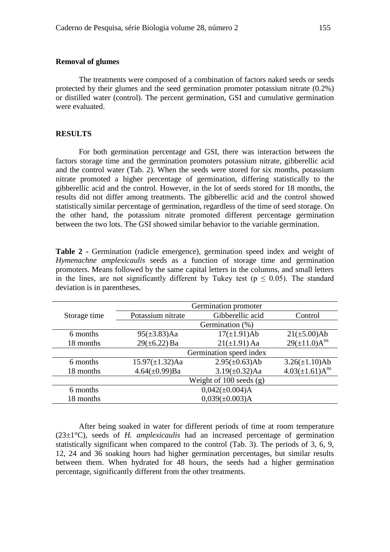The treatments were composed of a combination of factors naked seeds or seeds protected by their glumes and the seed germination promoter potassium nitrate (0.2%) or distilled water (control). The percent germination, GSI and cumulative germination were evaluated.

### **RESULTS**

For both germination percentage and GSI, there was interaction between the factors storage time and the germination promoters potassium nitrate, gibberellic acid and the control water (Tab. 2). When the seeds were stored for six months, potassium nitrate promoted a higher percentage of germination, differing statistically to the gibberellic acid and the control. However, in the lot of seeds stored for 18 months, the results did not differ among treatments. The gibberellic acid and the control showed statistically similar percentage of germination, regardless of the time of seed storage. On the other hand, the potassium nitrate promoted different percentage germination between the two lots. The GSI showed similar behavior to the variable germination.

**Table 2 -** Germination (radicle emergence), germination speed index and weight of *Hymenachne amplexicaulis* seeds as a function of storage time and germination promoters. Means followed by the same capital letters in the columns, and small letters in the lines, are not significantly different by Tukey test ( $p \le 0.05$ ). The standard deviation is in parentheses.

|              | Germination promoter        |                      |                       |  |  |  |
|--------------|-----------------------------|----------------------|-----------------------|--|--|--|
| Storage time | Potassium nitrate           | Gibberellic acid     | Control               |  |  |  |
|              | Germination (%)             |                      |                       |  |  |  |
| 6 months     | $95(\pm 3.83)$ Aa           | $17(\pm 1.91)$ Ab    | $21(\pm 5.00)$ Ab     |  |  |  |
| 18 months    | $29(\pm 6.22)$ Ba           | $21(\pm 1.91)$ Aa    | $29(\pm 11.0)A^{ns}$  |  |  |  |
|              | Germination speed index     |                      |                       |  |  |  |
| 6 months     | $15.97(\pm 1.32)$ Aa        | $2.95(\pm 0.63)$ Ab  | $3.26(\pm 1.10)$ Ab   |  |  |  |
| 18 months    | $4.64(\pm 0.99)$ Ba         | $3.19(\pm 0.32)$ Aa  | $4.03(\pm1.61)A^{ns}$ |  |  |  |
|              | Weight of $100$ seeds $(g)$ |                      |                       |  |  |  |
| 6 months     |                             | $0,042(\pm 0.004)$ A |                       |  |  |  |
| 18 months    | $0,039(\pm 0.003)$ A        |                      |                       |  |  |  |
|              |                             |                      |                       |  |  |  |

After being soaked in water for different periods of time at room temperature (23±1°C), seeds of *H. amplexicaulis* had an increased percentage of germination statistically significant when compared to the control (Tab. 3). The periods of 3, 6, 9, 12, 24 and 36 soaking hours had higher germination percentages, but similar results between them. When hydrated for 48 hours, the seeds had a higher germination percentage, significantly different from the other treatments.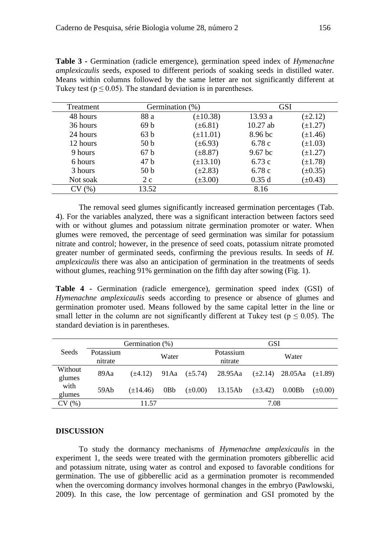| <b>Table 3 - Germination (radicle emergence), germination speed index of Hymenachne</b>       |
|-----------------------------------------------------------------------------------------------|
| <i>amplexicaulis</i> seeds, exposed to different periods of soaking seeds in distilled water. |
| Means within columns followed by the same letter are not significantly different at           |
| Tukey test ( $p \le 0.05$ ). The standard deviation is in parentheses.                        |

| Treatment     | Germination (%) |               | <b>GSI</b> |              |
|---------------|-----------------|---------------|------------|--------------|
| 48 hours      | 88 a            | $(\pm 10.38)$ | 13.93 a    | $(\pm 2.12)$ |
| 36 hours      | 69b             | $(\pm 6.81)$  | $10.27$ ab | $(\pm 1.27)$ |
| 24 hours      | 63 <sub>b</sub> | $(\pm 11.01)$ | 8.96 bc    | $(\pm 1.46)$ |
| 12 hours      | 50 <sub>b</sub> | $(\pm 6.93)$  | 6.78 c     | $(\pm 1.03)$ |
| 9 hours       | 67b             | $(\pm 8.87)$  | $9.67$ bc  | $(\pm 1.27)$ |
| 6 hours       | 47 <sub>b</sub> | $(\pm 13.10)$ | 6.73c      | $(\pm 1.78)$ |
| 3 hours       | 50 <sub>b</sub> | $(\pm 2.83)$  | 6.78c      | $(\pm 0.35)$ |
| Not soak      | 2c              | $(\pm 3.00)$  | 0.35d      | $(\pm 0.43)$ |
| $\frac{9}{6}$ | 13.52           |               | 8.16       |              |

The removal seed glumes significantly increased germination percentages (Tab. 4). For the variables analyzed, there was a significant interaction between factors seed with or without glumes and potassium nitrate germination promoter or water. When glumes were removed, the percentage of seed germination was similar for potassium nitrate and control; however, in the presence of seed coats, potassium nitrate promoted greater number of germinated seeds, confirming the previous results. In seeds of *H. amplexicaulis* there was also an anticipation of germination in the treatments of seeds without glumes, reaching 91% germination on the fifth day after sowing (Fig. 1).

**Table 4 -** Germination (radicle emergence), germination speed index (GSI) of *Hymenachne amplexicaulis* seeds according to presence or absence of glumes and germination promoter used. Means followed by the same capital letter in the line or small letter in the column are not significantly different at Tukey test ( $p \le 0.05$ ). The standard deviation is in parentheses.

|                   |                      | Germination (%) |                  |                   | GSI                  |              |                      |              |  |
|-------------------|----------------------|-----------------|------------------|-------------------|----------------------|--------------|----------------------|--------------|--|
| Seeds             | Potassium<br>nitrate |                 | Water            |                   | Potassium<br>nitrate |              | Water                |              |  |
| Without<br>glumes | 89Aa                 | $(\pm 4.12)$    |                  | 91Aa $(\pm 5.74)$ | 28.95Aa              | $(\pm 2.14)$ | 28.05Aa $(\pm 1.89)$ |              |  |
| with<br>glumes    | 59Ab                 | $(\pm 14.46)$   | 0 <sub>B</sub> b | $(\pm 0.00)$      | 13.15Ab              | $(\pm 3.42)$ | 0.00B <sub>b</sub>   | $(\pm 0.00)$ |  |
| CV(%)             | 11.57                |                 |                  |                   | 7.08                 |              |                      |              |  |

### **DISCUSSION**

To study the dormancy mechanisms of *Hymenachne amplexicaulis* in the experiment 1, the seeds were treated with the germination promoters gibberellic acid and potassium nitrate, using water as control and exposed to favorable conditions for germination. The use of gibberellic acid as a germination promoter is recommended when the overcoming dormancy involves hormonal changes in the embryo (Pawlowski, 2009). In this case, the low percentage of germination and GSI promoted by the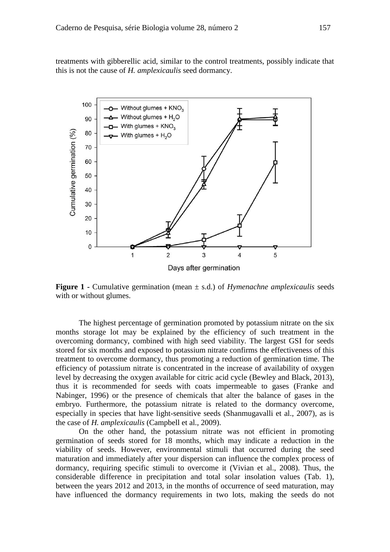treatments with gibberellic acid, similar to the control treatments, possibly indicate that this is not the cause of *H. amplexicaulis* seed dormancy.



**Figure** 1 - Cumulative germination (mean  $\pm$  s.d.) of *Hymenachne amplexicaulis* seeds with or without glumes.

The highest percentage of germination promoted by potassium nitrate on the six months storage lot may be explained by the efficiency of such treatment in the overcoming dormancy, combined with high seed viability. The largest GSI for seeds stored for six months and exposed to potassium nitrate confirms the effectiveness of this treatment to overcome dormancy, thus promoting a reduction of germination time. The efficiency of potassium nitrate is concentrated in the increase of availability of oxygen level by decreasing the oxygen available for citric acid cycle (Bewley and Black, 2013), thus it is recommended for seeds with coats impermeable to gases (Franke and Nabinger, 1996) or the presence of chemicals that alter the balance of gases in the embryo. Furthermore, the potassium nitrate is related to the dormancy overcome, especially in species that have light-sensitive seeds (Shanmugavalli et al., 2007), as is the case of *H. amplexicaulis* (Campbell et al., 2009).

On the other hand, the potassium nitrate was not efficient in promoting germination of seeds stored for 18 months, which may indicate a reduction in the viability of seeds. However, environmental stimuli that occurred during the seed maturation and immediately after your dispersion can influence the complex process of dormancy, requiring specific stimuli to overcome it (Vivian et al., 2008). Thus, the considerable difference in precipitation and total solar insolation values (Tab. 1), between the years 2012 and 2013, in the months of occurrence of seed maturation, may have influenced the dormancy requirements in two lots, making the seeds do not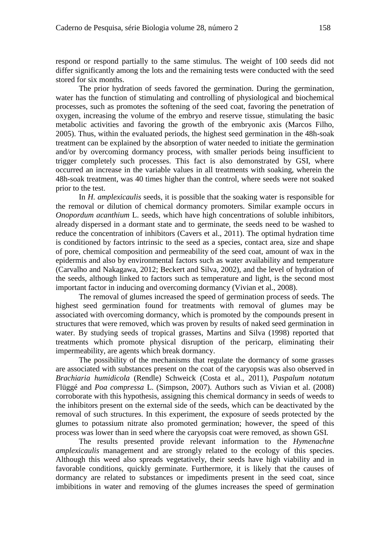respond or respond partially to the same stimulus. The weight of 100 seeds did not differ significantly among the lots and the remaining tests were conducted with the seed stored for six months.

The prior hydration of seeds favored the germination. During the germination, water has the function of stimulating and controlling of physiological and biochemical processes, such as promotes the softening of the seed coat, favoring the penetration of oxygen, increasing the volume of the embryo and reserve tissue, stimulating the basic metabolic activities and favoring the growth of the embryonic axis (Marcos Filho, 2005). Thus, within the evaluated periods, the highest seed germination in the 48h-soak treatment can be explained by the absorption of water needed to initiate the germination and/or by overcoming dormancy process, with smaller periods being insufficient to trigger completely such processes. This fact is also demonstrated by GSI, where occurred an increase in the variable values in all treatments with soaking, wherein the 48h-soak treatment, was 40 times higher than the control, where seeds were not soaked prior to the test.

In *H. amplexicaulis* seeds, it is possible that the soaking water is responsible for the removal or dilution of chemical dormancy promoters. Similar example occurs in *Onopordum acanthium* L. seeds, which have high concentrations of soluble inhibitors, already dispersed in a dormant state and to germinate, the seeds need to be washed to reduce the concentration of inhibitors (Cavers et al., 2011). The optimal hydration time is conditioned by factors intrinsic to the seed as a species, contact area, size and shape of pore, chemical composition and permeability of the seed coat, amount of wax in the epidermis and also by environmental factors such as water availability and temperature (Carvalho and Nakagawa, 2012; Beckert and Silva, 2002), and the level of hydration of the seeds, although linked to factors such as temperature and light, is the second most important factor in inducing and overcoming dormancy (Vivian et al., 2008).

The removal of glumes increased the speed of germination process of seeds. The highest seed germination found for treatments with removal of glumes may be associated with overcoming dormancy, which is promoted by the compounds present in structures that were removed, which was proven by results of naked seed germination in water. By studying seeds of tropical grasses, Martins and Silva (1998) reported that treatments which promote physical disruption of the pericarp, eliminating their impermeability, are agents which break dormancy.

The possibility of the mechanisms that regulate the dormancy of some grasses are associated with substances present on the coat of the caryopsis was also observed in *Brachiaria humidicola* (Rendle) Schweick (Costa et al., 2011), *Paspalum notatum*  Flüggé and *Poa compressa* L. (Simpson, 2007). Authors such as Vivian et al. (2008) corroborate with this hypothesis, assigning this chemical dormancy in seeds of weeds to the inhibitors present on the external side of the seeds, which can be deactivated by the removal of such structures. In this experiment, the exposure of seeds protected by the glumes to potassium nitrate also promoted germination; however, the speed of this process was lower than in seed where the caryopsis coat were removed, as shown GSI.

The results presented provide relevant information to the *Hymenachne amplexicaulis* management and are strongly related to the ecology of this species. Although this weed also spreads vegetatively, their seeds have high viability and in favorable conditions, quickly germinate. Furthermore, it is likely that the causes of dormancy are related to substances or impediments present in the seed coat, since imbibitions in water and removing of the glumes increases the speed of germination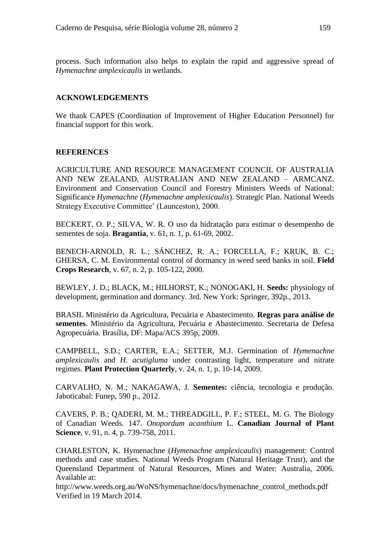process. Such information also helps to explain the rapid and aggressive spread of *Hymenachne amplexicaulis* in wetlands.

# **ACKNOWLEDGEMENTS**

We thank CAPES (Coordination of Improvement of Higher Education Personnel) for financial support for this work.

## **REFERENCES**

AGRICULTURE AND RESOURCE MANAGEMENT COUNCIL OF AUSTRALIA AND NEW ZEALAND, AUSTRALIAN AND NEW ZEALAND – ARMCANZ. Environment and Conservation Council and Forestry Ministers Weeds of National: Significance *Hymenachne* (*Hymenachne amplexicaulis*). Strategic Plan. National Weeds Strategy Executive Committee' (Launceston), 2000.

BECKERT, O. P.; SILVA, W. R. O uso da hidratação para estimar o desempenho de sementes de soja. **Bragantia**, v. 61, n. 1, p. 61-69, 2002.

BENECH-ARNOLD, R. L.; SÁNCHEZ, R. A.; FORCELLA, F.; KRUK, B. C.; GHERSA, C. M. Environmental control of dormancy in weed seed banks in soil. **Field Crops Research**, v. 67, n. 2, p. 105-122, 2000.

BEWLEY, J. D.; BLACK, M.; HILHORST, K.; NONOGAKI, H. **Seeds:** physiology of development, germination and dormancy. 3rd. New York: Springer, 392p., 2013.

BRASIL Ministério da Agricultura, Pecuária e Abastecimento. **Regras para análise de sementes**. Ministério da Agricultura, Pecuária e Abastecimento. Secretaria de Defesa Agropecuária. Brasília, DF: Mapa/ACS 395p, 2009.

CAMPBELL, S.D.; CARTER, E.A.; SETTER, M.J. Germination of *Hymenachne amplexicaulis* and *H. acutigluma* under contrasting light, temperature and nitrate regimes. **Plant Protection Quarterly**, v. 24, n. 1, p. 10-14, 2009.

CARVALHO, N. M.; NAKAGAWA, J. **Sementes:** ciência, tecnologia e produção. Jaboticabal: Funep, 590 p., 2012.

CAVERS, P. B.; QADERI, M. M.; THREADGILL, P. F.; STEEL, M. G. The Biology of Canadian Weeds. 147. *Onopordum acanthium* L. **Canadian Journal of Plant Science**, v. 91, n. 4, p. 739-758, 2011.

CHARLESTON, K. Hymenachne (*Hymenachne amplexicaulis*) management: Control methods and case studies. National Weeds Program (Natural Heritage Trust), and the Queensland Department of Natural Resources, Mines and Water: Australia, 2006. Available at:

http://www.weeds.org.au/WoNS/hymenachne/docs/hymenachne\_control\_methods.pdf Verified in 19 March 2014.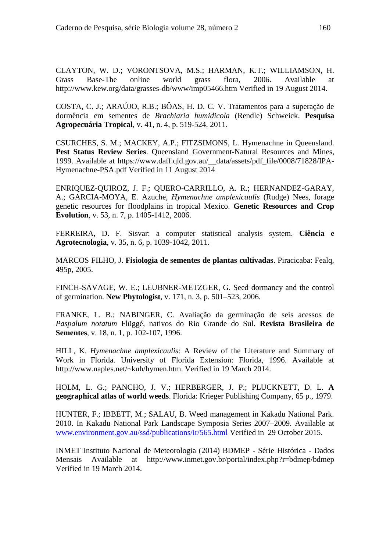CLAYTON, W. D.; VORONTSOVA, M.S.; HARMAN, K.T.; WILLIAMSON, H. Grass Base-The online world grass flora, 2006. Available at http://www.kew.org/data/grasses-db/www/imp05466.htm Verified in 19 August 2014.

COSTA, C. J.; ARAÚJO, R.B.; BÔAS, H. D. C. V. Tratamentos para a superação de dormência em sementes de *Brachiaria humidicola* (Rendle) Schweick. **Pesquisa Agropecuária Tropical**, v. 41, n. 4, p. 519-524, 2011.

CSURCHES, S. M.; MACKEY, A.P.; FITZSIMONS, L. Hymenachne in Queensland. **Pest Status Review Series**. Queensland Government-Natural Resources and Mines, 1999. Available at https://www.daff.qld.gov.au/\_\_data/assets/pdf\_file/0008/71828/IPA-Hymenachne-PSA.pdf Verified in 11 August 2014

ENRIQUEZ-QUIROZ, J. F.; QUERO-CARRILLO, A. R.; HERNANDEZ-GARAY, A.; GARCIA-MOYA, E. Azuche, *Hymenachne amplexicaulis* (Rudge) Nees, forage genetic resources for floodplains in tropical Mexico. **Genetic Resources and Crop Evolution**, v. 53, n. 7, p. 1405-1412, 2006.

FERREIRA, D. F. Sisvar: a computer statistical analysis system. **Ciência e Agrotecnologia**, v. 35, n. 6, p. 1039-1042, 2011.

MARCOS FILHO, J. **Fisiologia de sementes de plantas cultivadas**. Piracicaba: Fealq, 495p, 2005.

FINCH-SAVAGE, W. E.; LEUBNER-METZGER, G. Seed dormancy and the control of germination. **New Phytologist**, v. 171, n. 3, p. 501–523, 2006.

FRANKE, L. B.; NABINGER, C. Avaliação da germinação de seis acessos de *Paspalum notatum* Flüggé, nativos do Rio Grande do Sul. **Revista Brasileira de Sementes**, v. 18, n. 1, p. 102-107, 1996.

HILL, K. *Hymenachne amplexicaulis*: A Review of the Literature and Summary of Work in Florida. University of Florida Extension: Florida, 1996. Available at http://www.naples.net/~kuh/hymen.htm. Verified in 19 March 2014.

HOLM, L. G.; PANCHO, J. V.; HERBERGER, J. P.; PLUCKNETT, D. L. **A geographical atlas of world weeds**. Florida: Krieger Publishing Company, 65 p., 1979.

HUNTER, F.; IBBETT, M.; SALAU, B. Weed management in Kakadu National Park. 2010. In Kakadu National Park Landscape Symposia Series 2007–2009. Available at [www.environment.gov.au/ssd/publications/ir/565.html](http://www.environment.gov.au/ssd/publications/ir/565.html) Verified in 29 October 2015.

INMET Instituto Nacional de Meteorologia (2014) BDMEP - Série Histórica - Dados Mensais Available at http://www.inmet.gov.br/portal/index.php?r=bdmep/bdmep Verified in 19 March 2014.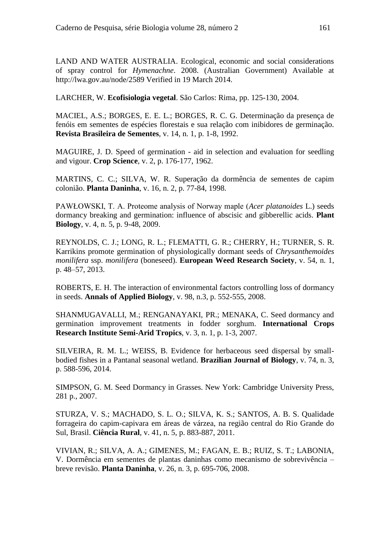LAND AND WATER AUSTRALIA. Ecological, economic and social considerations of spray control for *Hymenachne*. 2008. (Australian Government) Available at http://lwa.gov.au/node/2589 Verified in 19 March 2014.

LARCHER, W. **Ecofisiologia vegetal**. São Carlos: Rima, pp. 125-130, 2004.

MACIEL, A.S.; BORGES, E. E. L.; BORGES, R. C. G. Determinação da presença de fenóis em sementes de espécies florestais e sua relação com inibidores de germinação. **Revista Brasileira de Sementes**, v. 14, n. 1, p. 1-8, 1992.

MAGUIRE, J. D. Speed of germination - aid in selection and evaluation for seedling and vigour. **Crop Science**, v. 2, p. 176-177, 1962.

MARTINS, C. C.; SILVA, W. R. Superação da dormência de sementes de capim colonião. **Planta Daninha**, v. 16, n. 2, p. 77-84, 1998.

PAWŁOWSKI, T. A. Proteome analysis of Norway maple (*Acer platanoides* L.) seeds dormancy breaking and germination: influence of abscisic and gibberellic acids. **Plant Biology**, v. 4, n. 5, p. 9-48, 2009.

REYNOLDS, C. J.; LONG, R. L.; FLEMATTI, G. R.; CHERRY, H.; TURNER, S. R. Karrikins promote germination of physiologically dormant seeds of *Chrysanthemoides monilifera* ssp. *monilifera* (boneseed). **European Weed Research Society**, v. 54, n. 1, p. 48–57, 2013.

ROBERTS, E. H. The interaction of environmental factors controlling loss of dormancy in seeds. **Annals of Applied Biology**, v. 98, n.3, p. 552-555, 2008.

SHANMUGAVALLI, M.; RENGANAYAKI, PR.; MENAKA, C. Seed dormancy and germination improvement treatments in fodder sorghum. **International Crops Research Institute Semi-Arid Tropics**, v. 3, n. 1, p. 1-3, 2007.

SILVEIRA, R. M. L.; WEISS, B. Evidence for herbaceous seed dispersal by smallbodied fishes in a Pantanal seasonal wetland. **Brazilian Journal of Biology**, v. 74, n. 3, p. 588-596, 2014.

SIMPSON, G. M. Seed Dormancy in Grasses. New York: Cambridge University Press, 281 p., 2007.

STURZA, V. S.; MACHADO, S. L. O.; SILVA, K. S.; SANTOS, A. B. S. Qualidade forrageira do capim-capivara em áreas de várzea, na região central do Rio Grande do Sul, Brasil. **Ciência Rural**, v. 41, n. 5, p. 883-887, 2011.

VIVIAN, R.; SILVA, A. A.; GIMENES, M.; FAGAN, E. B.; RUIZ, S. T.; LABONIA, V. Dormência em sementes de plantas daninhas como mecanismo de sobrevivência – breve revisão. **Planta Daninha**, v. 26, n. 3, p. 695-706, 2008.